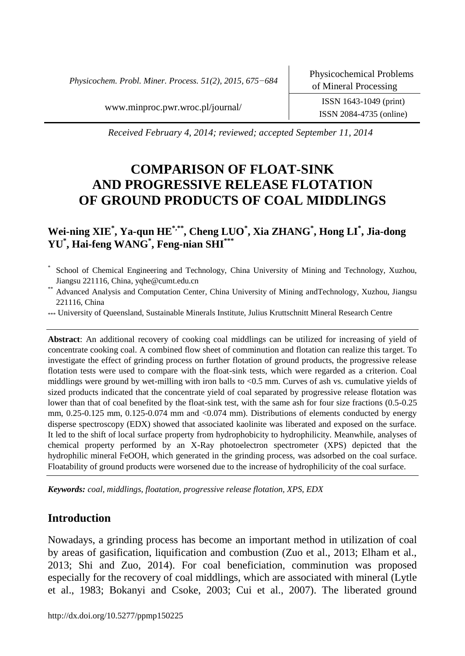*Physicochem. Probl. Miner. Process. 51(2), 2015, 675−684*

www.minproc.pwr.wroc.pl/journal/ ISSN 1643-1049 (print)

ISSN 2084-4735 (online)

*Received February 4, 2014; reviewed; accepted September 11, 2014*

# **COMPARISON OF FLOAT-SINK AND PROGRESSIVE RELEASE FLOTATION OF GROUND PRODUCTS OF COAL MIDDLINGS**

## **Wei-ning XIE\* , Ya-qun HE\*,\*\*, Cheng LUO\* , Xia ZHANG\* , Hong LI\* , Jia-dong YU\* , Hai-feng WANG\* , Feng-nian SHI\*\*\***

- \* School of Chemical Engineering and Technology, China University of Mining and Technology, Xuzhou, Jiangsu 221116, China, yqhe@cumt.edu.cn
- \*\* Advanced Analysis and Computation Center, China University of Mining andTechnology, Xuzhou, Jiangsu 221116, China
- \*\*\* University of Queensland, Sustainable Minerals Institute, Julius Kruttschnitt Mineral Research Centre

**Abstract**: An additional recovery of cooking coal middlings can be utilized for increasing of yield of concentrate cooking coal. A combined flow sheet of comminution and flotation can realize this target. To investigate the effect of grinding process on further flotation of ground products, the progressive release flotation tests were used to compare with the float-sink tests, which were regarded as a criterion. Coal middlings were ground by wet-milling with iron balls to <0.5 mm. Curves of ash vs. cumulative yields of sized products indicated that the concentrate yield of coal separated by progressive release flotation was lower than that of coal benefited by the float-sink test, with the same ash for four size fractions (0.5-0.25 mm, 0.25-0.125 mm, 0.125-0.074 mm and <0.074 mm). Distributions of elements conducted by energy disperse spectroscopy (EDX) showed that associated kaolinite was liberated and exposed on the surface. It led to the shift of local surface property from hydrophobicity to hydrophilicity. Meanwhile, analyses of chemical property performed by an X-Ray photoelectron spectrometer (XPS) depicted that the hydrophilic mineral FeOOH, which generated in the grinding process, was adsorbed on the coal surface. Floatability of ground products were worsened due to the increase of hydrophilicity of the coal surface.

*Keywords: coal, middlings, floatation, progressive release flotation, XPS, EDX*

### **Introduction**

Nowadays, a grinding process has become an important method in utilization of coal by areas of gasification, liquification and combustion (Zuo et al., 2013; Elham et al., 2013; Shi and Zuo, 2014). For coal beneficiation, comminution was proposed especially for the recovery of coal middlings, which are associated with mineral (Lytle et al., 1983; Bokanyi and Csoke, 2003; Cui et al., 2007). The liberated ground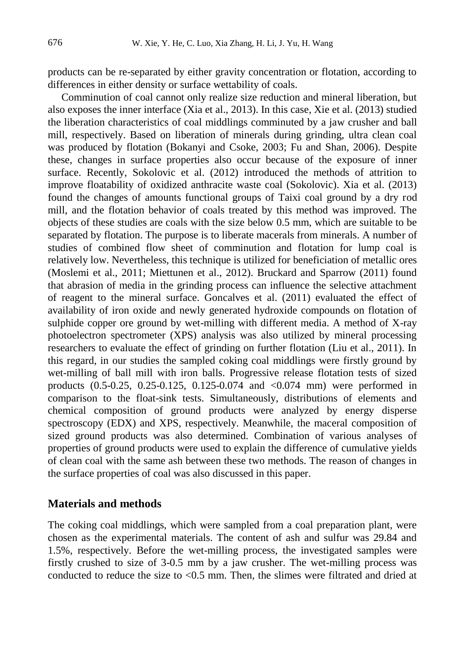products can be re-separated by either gravity concentration or flotation, according to differences in either density or surface wettability of coals.

Comminution of coal cannot only realize size reduction and mineral liberation, but also exposes the inner interface (Xia et al., 2013). In this case, Xie et al. (2013) studied the liberation characteristics of coal middlings comminuted by a jaw crusher and ball mill, respectively. Based on liberation of minerals during grinding, ultra clean coal was produced by flotation (Bokanyi and Csoke, 2003; Fu and Shan, 2006). Despite these, changes in surface properties also occur because of the exposure of inner surface. Recently, Sokolovic et al. (2012) introduced the methods of attrition to improve floatability of oxidized anthracite waste coal (Sokolovic). Xia et al. (2013) found the changes of amounts functional groups of Taixi coal ground by a dry rod mill, and the flotation behavior of coals treated by this method was improved. The objects of these studies are coals with the size below 0.5 mm, which are suitable to be separated by flotation. The purpose is to liberate macerals from minerals. A number of studies of combined flow sheet of comminution and flotation for lump coal is relatively low. Nevertheless, this technique is utilized for beneficiation of metallic ores (Moslemi et al., 2011; Miettunen et al., 2012). Bruckard and Sparrow (2011) found that abrasion of media in the grinding process can influence the selective attachment of reagent to the mineral surface. Goncalves et al. (2011) evaluated the effect of availability of iron oxide and newly generated hydroxide compounds on flotation of sulphide copper ore ground by wet-milling with different media. A method of X-ray photoelectron spectrometer (XPS) analysis was also utilized by mineral processing researchers to evaluate the effect of grinding on further flotation (Liu et al., 2011). In this regard, in our studies the sampled coking coal middlings were firstly ground by wet-milling of ball mill with iron balls. Progressive release flotation tests of sized products (0.5-0.25, 0.25-0.125, 0.125-0.074 and <0.074 mm) were performed in comparison to the float-sink tests. Simultaneously, distributions of elements and chemical composition of ground products were analyzed by energy disperse spectroscopy (EDX) and XPS, respectively. Meanwhile, the maceral composition of sized ground products was also determined. Combination of various analyses of properties of ground products were used to explain the difference of cumulative yields of clean coal with the same ash between these two methods. The reason of changes in the surface properties of coal was also discussed in this paper.

#### **Materials and methods**

The coking coal middlings, which were sampled from a coal preparation plant, were chosen as the experimental materials. The content of ash and sulfur was 29.84 and 1.5%, respectively. Before the wet-milling process, the investigated samples were firstly crushed to size of 3-0.5 mm by a jaw crusher. The wet-milling process was conducted to reduce the size to <0.5 mm. Then, the slimes were filtrated and dried at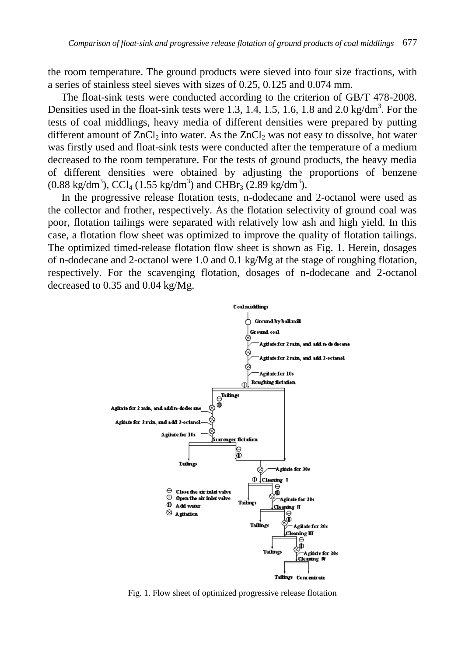the room temperature. The ground products were sieved into four size fractions, with a series of stainless steel sieves with sizes of 0.25, 0.125 and 0.074 mm.

The float-sink tests were conducted according to the criterion of GB/T 478-2008. Densities used in the float-sink tests were 1.3, 1.4, 1.5, 1.6, 1.8 and 2.0 kg/dm<sup>3</sup>. For the tests of coal middlings, heavy media of different densities were prepared by putting different amount of  $ZnCl<sub>2</sub>$  into water. As the  $ZnCl<sub>2</sub>$  was not easy to dissolve, hot water was firstly used and float-sink tests were conducted after the temperature of a medium decreased to the room temperature. For the tests of ground products, the heavy media of different densities were obtained by adjusting the proportions of benzene  $(0.88 \text{ kg/dm}^3)$ , CCl<sub>4</sub>  $(1.55 \text{ kg/dm}^3)$  and CHBr<sub>3</sub>  $(2.89 \text{ kg/dm}^3)$ .

In the progressive release flotation tests, n-dodecane and 2-octanol were used as the collector and frother, respectively. As the flotation selectivity of ground coal was poor, flotation tailings were separated with relatively low ash and high yield. In this case, a flotation flow sheet was optimized to improve the quality of flotation tailings. The optimized timed-release flotation flow sheet is shown as Fig. 1. Herein, dosages of n-dodecane and 2-octanol were 1.0 and 0.1 kg/Mg at the stage of roughing flotation, respectively. For the scavenging flotation, dosages of n-dodecane and 2-octanol decreased to 0.35 and 0.04 kg/Mg.



Fig. 1. Flow sheet of optimized progressive release flotation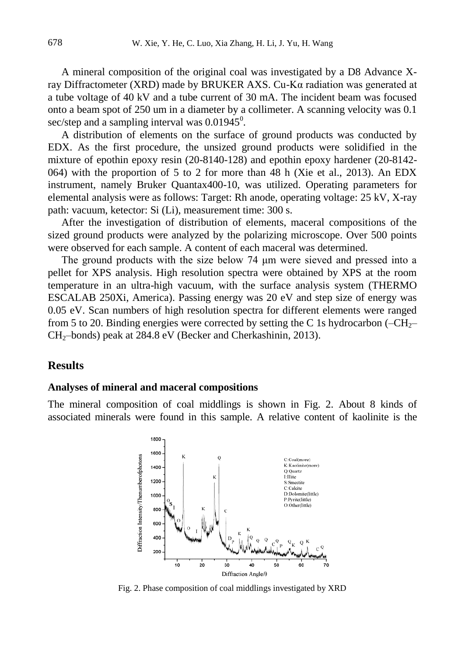A mineral composition of the original coal was investigated by a D8 Advance Xray Diffractometer (XRD) made by BRUKER AXS. Cu-Kα radiation was generated at a tube voltage of 40 kV and a tube current of 30 mA. The incident beam was focused onto a beam spot of 250 um in a diameter by a collimeter. A scanning velocity was 0.1 sec/step and a sampling interval was  $0.01945^0$ .

A distribution of elements on the surface of ground products was conducted by EDX. As the first procedure, the unsized ground products were solidified in the mixture of epothin epoxy resin (20-8140-128) and epothin epoxy hardener (20-8142- 064) with the proportion of 5 to 2 for more than 48 h (Xie et al., 2013). An EDX instrument, namely Bruker Quantax400-10, was utilized. Operating parameters for elemental analysis were as follows: Target: Rh anode, operating voltage: 25 kV, X-ray path: vacuum, ketector: Si (Li), measurement time: 300 s.

After the investigation of distribution of elements, maceral compositions of the sized ground products were analyzed by the polarizing microscope. Over 500 points were observed for each sample. A content of each maceral was determined.

The ground products with the size below 74 μm were sieved and pressed into a pellet for XPS analysis. High resolution spectra were obtained by XPS at the room temperature in an ultra-high vacuum, with the surface analysis system (THERMO ESCALAB 250Xi, America). Passing energy was 20 eV and step size of energy was 0.05 eV. Scan numbers of high resolution spectra for different elements were ranged from 5 to 20. Binding energies were corrected by setting the C 1s hydrocarbon  $(-CH<sub>2</sub>$ CH<sub>2</sub>–bonds) peak at 284.8 eV (Becker and Cherkashinin, 2013).

#### **Results**

#### **Analyses of mineral and maceral compositions**

The mineral composition of coal middlings is shown in Fig. 2. About 8 kinds of associated minerals were found in this sample. A relative content of kaolinite is the



Fig. 2. Phase composition of coal middlings investigated by XRD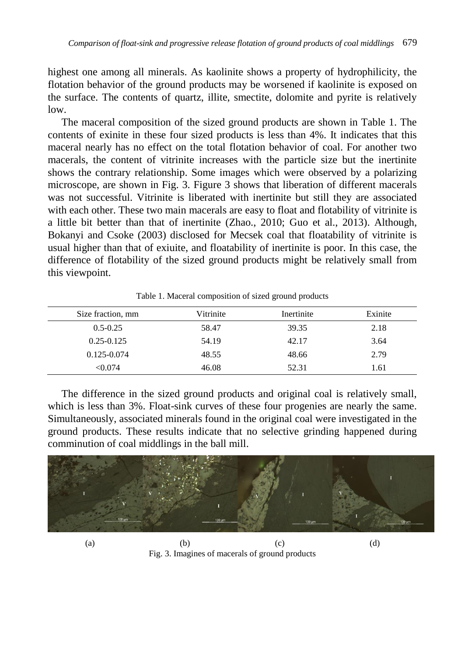highest one among all minerals. As kaolinite shows a property of hydrophilicity, the flotation behavior of the ground products may be worsened if kaolinite is exposed on the surface. The contents of quartz, illite, smectite, dolomite and pyrite is relatively low.

The maceral composition of the sized ground products are shown in Table 1. The contents of exinite in these four sized products is less than 4%. It indicates that this maceral nearly has no effect on the total flotation behavior of coal. For another two macerals, the content of vitrinite increases with the particle size but the inertinite shows the contrary relationship. Some images which were observed by a polarizing microscope, are shown in Fig. 3. Figure 3 shows that liberation of different macerals was not successful. Vitrinite is liberated with inertinite but still they are associated with each other. These two main macerals are easy to float and flotability of vitrinite is a little bit better than that of inertinite (Zhao., 2010; Guo et al., 2013). Although, Bokanyi and Csoke (2003) disclosed for Mecsek coal that floatability of vitrinite is usual higher than that of exiuite, and floatability of inertinite is poor. In this case, the difference of flotability of the sized ground products might be relatively small from this viewpoint.

| Size fraction, mm | Vitrinite | Inertinite | Exinite |
|-------------------|-----------|------------|---------|
| $0.5 - 0.25$      | 58.47     | 39.35      | 2.18    |
| $0.25 - 0.125$    | 54.19     | 42.17      | 3.64    |
| 0.125-0.074       | 48.55     | 48.66      | 2.79    |
| < 0.074           | 46.08     | 52.31      | 1.61    |

Table 1. Maceral composition of sized ground products

The difference in the sized ground products and original coal is relatively small, which is less than 3%. Float-sink curves of these four progenies are nearly the same. Simultaneously, associated minerals found in the original coal were investigated in the ground products. These results indicate that no selective grinding happened during comminution of coal middlings in the ball mill.



(a)  $(b)$   $(c)$   $(d)$ Fig. 3. Imagines of macerals of ground products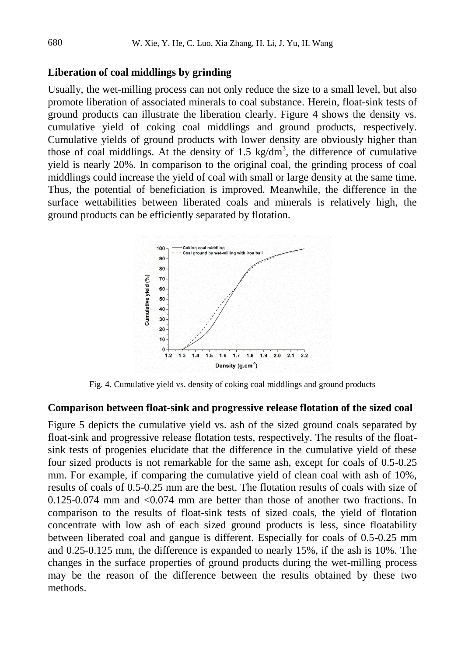#### **Liberation of coal middlings by grinding**

Usually, the wet-milling process can not only reduce the size to a small level, but also promote liberation of associated minerals to coal substance. Herein, float-sink tests of ground products can illustrate the liberation clearly. Figure 4 shows the density vs. cumulative yield of coking coal middlings and ground products, respectively. Cumulative yields of ground products with lower density are obviously higher than those of coal middlings. At the density of 1.5 kg/dm<sup>3</sup>, the difference of cumulative yield is nearly 20%. In comparison to the original coal, the grinding process of coal middlings could increase the yield of coal with small or large density at the same time. Thus, the potential of beneficiation is improved. Meanwhile, the difference in the surface wettabilities between liberated coals and minerals is relatively high, the ground products can be efficiently separated by flotation.



Fig. 4. Cumulative yield vs. density of coking coal middlings and ground products

#### **Comparison between float-sink and progressive release flotation of the sized coal**

Figure 5 depicts the cumulative yield vs. ash of the sized ground coals separated by float-sink and progressive release flotation tests, respectively. The results of the floatsink tests of progenies elucidate that the difference in the cumulative yield of these four sized products is not remarkable for the same ash, except for coals of 0.5-0.25 mm. For example, if comparing the cumulative yield of clean coal with ash of 10%, results of coals of 0.5-0.25 mm are the best. The flotation results of coals with size of 0.125-0.074 mm and <0.074 mm are better than those of another two fractions. In comparison to the results of float-sink tests of sized coals, the yield of flotation concentrate with low ash of each sized ground products is less, since floatability between liberated coal and gangue is different. Especially for coals of 0.5-0.25 mm and 0.25-0.125 mm, the difference is expanded to nearly 15%, if the ash is 10%. The changes in the surface properties of ground products during the wet-milling process may be the reason of the difference between the results obtained by these two methods.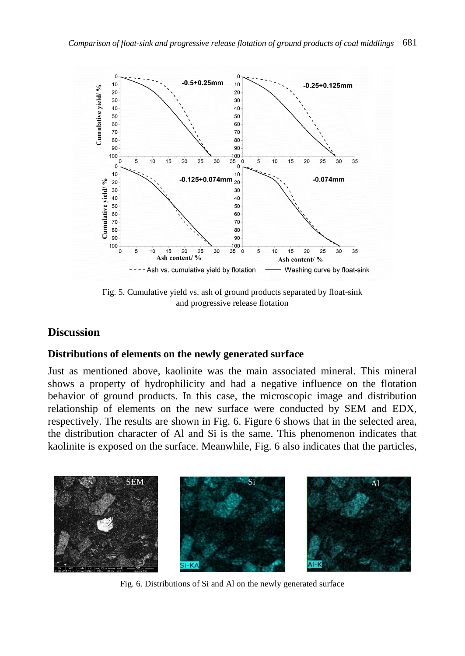

Fig. 5. Cumulative yield vs. ash of ground products separated by float-sink and progressive release flotation

## **Discussion**

### **Distributions of elements on the newly generated surface**

Just as mentioned above, kaolinite was the main associated mineral. This mineral shows a property of hydrophilicity and had a negative influence on the flotation behavior of ground products. In this case, the microscopic image and distribution relationship of elements on the new surface were conducted by SEM and EDX, respectively. The results are shown in Fig. 6. Figure 6 shows that in the selected area, the distribution character of Al and Si is the same. This phenomenon indicates that kaolinite is exposed on the surface. Meanwhile, Fig. 6 also indicates that the particles,



Fig. 6. Distributions of Si and Al on the newly generated surface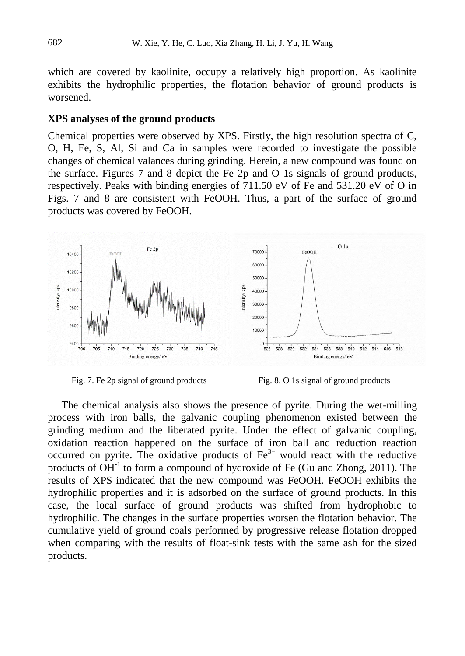which are covered by kaolinite, occupy a relatively high proportion. As kaolinite exhibits the hydrophilic properties, the flotation behavior of ground products is worsened.

#### **XPS analyses of the ground products**

Chemical properties were observed by XPS. Firstly, the high resolution spectra of C, O, H, Fe, S, Al, Si and Ca in samples were recorded to investigate the possible changes of chemical valances during grinding. Herein, a new compound was found on the surface. Figures 7 and 8 depict the Fe 2p and O 1s signals of ground products, respectively. Peaks with binding energies of 711.50 eV of Fe and 531.20 eV of O in Figs. 7 and 8 are consistent with FeOOH. Thus, a part of the surface of ground products was covered by FeOOH.



Fig. 7. Fe 2p signal of ground products Fig. 8. O 1s signal of ground products

The chemical analysis also shows the presence of pyrite. During the wet-milling process with iron balls, the galvanic coupling phenomenon existed between the grinding medium and the liberated pyrite. Under the effect of galvanic coupling, oxidation reaction happened on the surface of iron ball and reduction reaction occurred on pyrite. The oxidative products of  $Fe<sup>3+</sup>$  would react with the reductive products of  $OH<sup>-1</sup>$  to form a compound of hydroxide of Fe (Gu and Zhong, 2011). The results of XPS indicated that the new compound was FeOOH. FeOOH exhibits the hydrophilic properties and it is adsorbed on the surface of ground products. In this case, the local surface of ground products was shifted from hydrophobic to hydrophilic. The changes in the surface properties worsen the flotation behavior. The cumulative yield of ground coals performed by progressive release flotation dropped when comparing with the results of float-sink tests with the same ash for the sized products.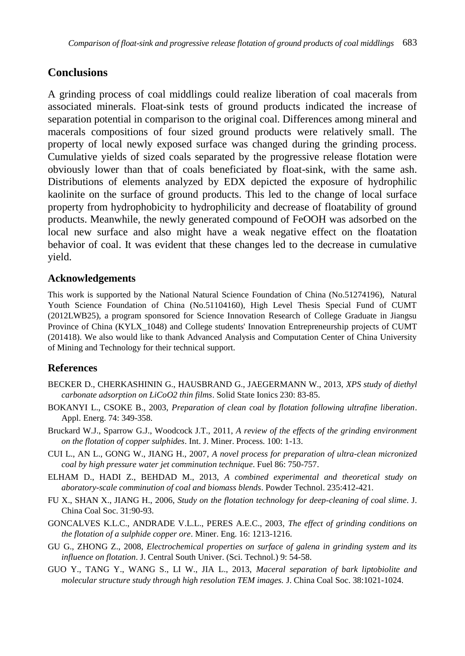## **Conclusions**

A grinding process of coal middlings could realize liberation of coal macerals from associated minerals. Float-sink tests of ground products indicated the increase of separation potential in comparison to the original coal. Differences among mineral and macerals compositions of four sized ground products were relatively small. The property of local newly exposed surface was changed during the grinding process. Cumulative yields of sized coals separated by the progressive release flotation were obviously lower than that of coals beneficiated by float-sink, with the same ash. Distributions of elements analyzed by EDX depicted the exposure of hydrophilic kaolinite on the surface of ground products. This led to the change of local surface property from hydrophobicity to hydrophilicity and decrease of floatability of ground products. Meanwhile, the newly generated compound of FeOOH was adsorbed on the local new surface and also might have a weak negative effect on the floatation behavior of coal. It was evident that these changes led to the decrease in cumulative yield.

### **Acknowledgements**

This work is supported by the National Natural Science Foundation of China (No.51274196), Natural Youth Science Foundation of China (No.51104160), High Level Thesis Special Fund of CUMT (2012LWB25), a program sponsored for Science Innovation Research of College Graduate in Jiangsu Province of China (KYLX\_1048) and College students' Innovation Entrepreneurship projects of CUMT (201418). We also would like to thank Advanced Analysis and Computation Center of China University of Mining and Technology for their technical support.

### **References**

- BECKER D., CHERKASHININ G., HAUSBRAND G., JAEGERMANN W., 2013, *XPS study of diethyl carbonate adsorption on LiCoO2 thin films*. Solid State Ionics 230: 83-85.
- BOKANYI L., CSOKE B., 2003, *Preparation of clean coal by flotation following ultrafine liberation*. Appl. Energ. 74: 349-358.
- Bruckard W.J., Sparrow G.J., Woodcock J.T., 2011, *A review of the effects of the grinding environment on the flotation of copper sulphides*. Int. J. Miner. Process. 100: 1-13.
- CUI L., AN L., GONG W., JIANG H., 2007, *A novel process for preparation of ultra-clean micronized coal by high pressure water jet comminution technique*. Fuel 86: 750-757.
- ELHAM D., HADI Z., BEHDAD M., 2013, *A combined experimental and theoretical study on aboratory-scale comminution of coal and biomass blends*. Powder Technol. 235:412-421.
- FU X., SHAN X., JIANG H., 2006, *Study on the flotation technology for deep-cleaning of coal slime*. J. China Coal Soc. 31:90-93.
- GONCALVES K.L.C., ANDRADE V.L.L., PERES A.E.C., 2003, *The effect of grinding conditions on the flotation of a sulphide copper ore*. Miner. Eng. 16: 1213-1216.
- GU G., ZHONG Z., 2008, *Electrochemical properties on surface of galena in grinding system and its influence on flotation*. J. Central South Univer. (Sci. Technol.) 9: 54-58.
- GUO Y., TANG Y., WANG S., LI W., JIA L., 2013, *Maceral separation of bark liptobiolite and molecular structure study through high resolution TEM images.* J. China Coal Soc. 38:1021-1024.